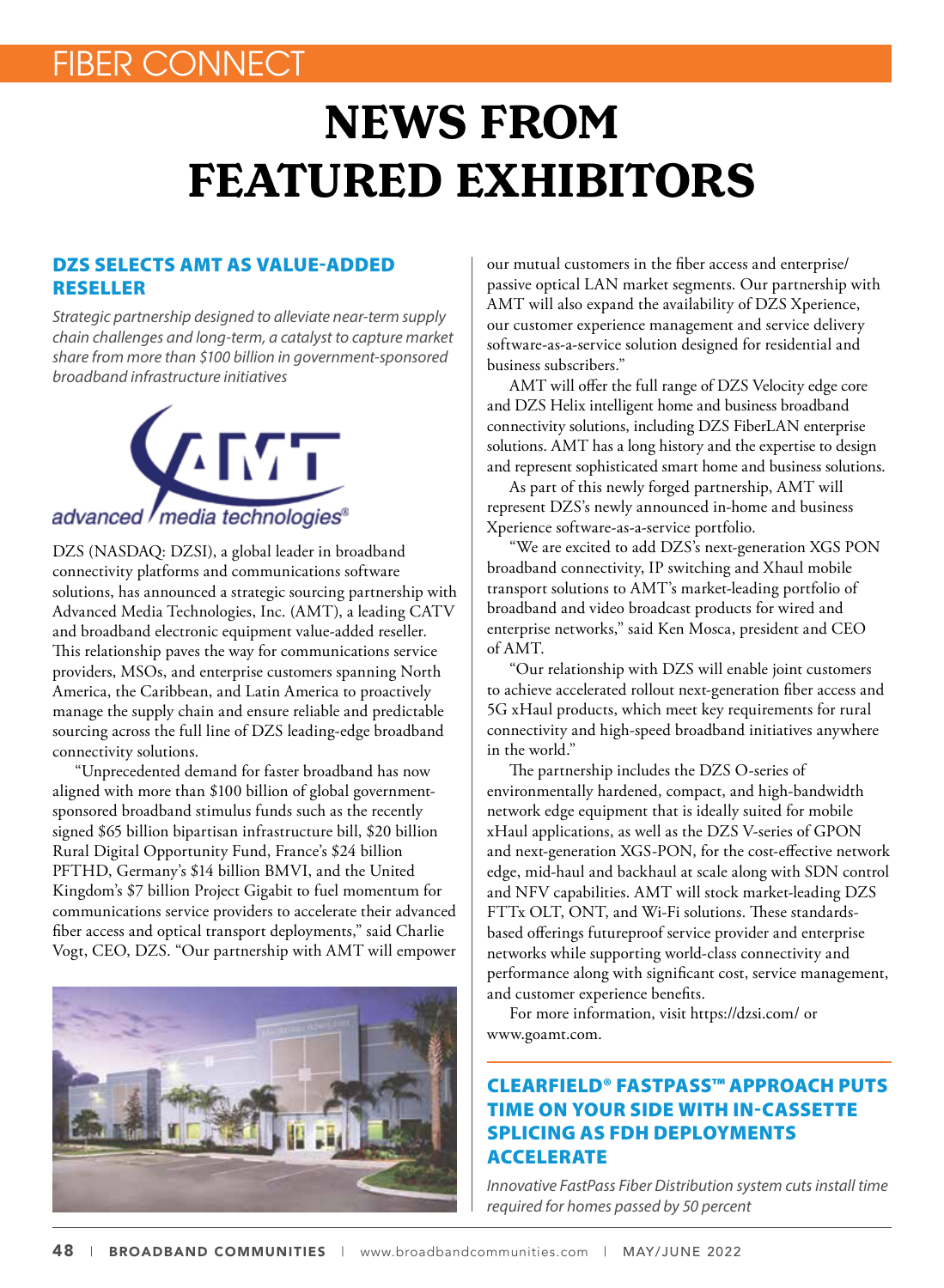## FIBER CONNECT

# **NEWS FROM FEATURED EXHIBITORS**

#### DZS SELECTS AMT AS VALUE-ADDED RESELLER

*Strategic partnership designed to alleviate near-term supply chain challenges and long-term, a catalyst to capture market share from more than \$100 billion in government-sponsored broadband infrastructure initiatives*



DZS (NASDAQ: DZSI), a global leader in broadband connectivity platforms and communications software solutions, has announced a strategic sourcing partnership with Advanced Media Technologies, Inc. (AMT), a leading CATV and broadband electronic equipment value-added reseller. This relationship paves the way for communications service providers, MSOs, and enterprise customers spanning North America, the Caribbean, and Latin America to proactively manage the supply chain and ensure reliable and predictable sourcing across the full line of DZS leading-edge broadband connectivity solutions.

"Unprecedented demand for faster broadband has now aligned with more than \$100 billion of global governmentsponsored broadband stimulus funds such as the recently signed \$65 billion bipartisan infrastructure bill, \$20 billion Rural Digital Opportunity Fund, France's \$24 billion PFTHD, Germany's \$14 billion BMVI, and the United Kingdom's \$7 billion Project Gigabit to fuel momentum for communications service providers to accelerate their advanced fiber access and optical transport deployments," said Charlie Vogt, CEO, DZS. "Our partnership with AMT will empower



our mutual customers in the fiber access and enterprise/ passive optical LAN market segments. Our partnership with AMT will also expand the availability of DZS Xperience, our customer experience management and service delivery software-as-a-service solution designed for residential and business subscribers."

AMT will offer the full range of DZS Velocity edge core and DZS Helix intelligent home and business broadband connectivity solutions, including DZS FiberLAN enterprise solutions. AMT has a long history and the expertise to design and represent sophisticated smart home and business solutions.

As part of this newly forged partnership, AMT will represent DZS's newly announced in-home and business Xperience software-as-a-service portfolio.

"We are excited to add DZS's next-generation XGS PON broadband connectivity, IP switching and Xhaul mobile transport solutions to AMT's market-leading portfolio of broadband and video broadcast products for wired and enterprise networks," said Ken Mosca, president and CEO of AMT.

"Our relationship with DZS will enable joint customers to achieve accelerated rollout next-generation fiber access and 5G xHaul products, which meet key requirements for rural connectivity and high-speed broadband initiatives anywhere in the world."

The partnership includes the DZS O-series of environmentally hardened, compact, and high-bandwidth network edge equipment that is ideally suited for mobile xHaul applications, as well as the DZS V-series of GPON and next-generation XGS-PON, for the cost-effective network edge, mid-haul and backhaul at scale along with SDN control and NFV capabilities. AMT will stock market-leading DZS FTTx OLT, ONT, and Wi-Fi solutions. These standardsbased offerings futureproof service provider and enterprise networks while supporting world-class connectivity and performance along with significant cost, service management, and customer experience benefits.

For more information, visit https://dzsi.com/ or www.goamt.com.

#### CLEARFIELD® FASTPASS™ APPROACH PUTS TIME ON YOUR SIDE WITH IN-CASSETTE SPLICING AS FDH DEPLOYMENTS ACCELERATE

*Innovative FastPass Fiber Distribution system cuts install time required for homes passed by 50 percent*